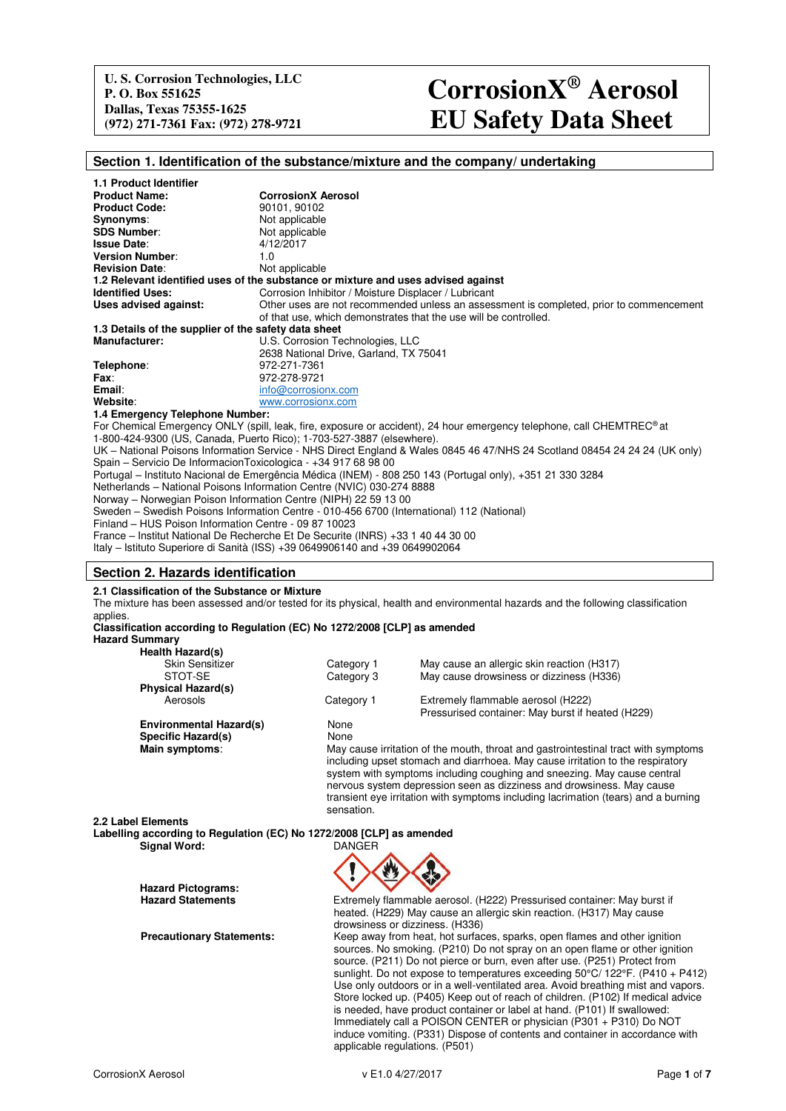# **(972) 271-7361 Fax: (972) 278-9721 EU Safety Data Sheet CorrosionX® Aerosol**

## **Section 1. Identification of the substance/mixture and the company/ undertaking**

| <b>1.1 Product Identifier</b>                                                                                              |                                                                                                                                   |  |  |  |
|----------------------------------------------------------------------------------------------------------------------------|-----------------------------------------------------------------------------------------------------------------------------------|--|--|--|
| <b>Product Name:</b>                                                                                                       | <b>CorrosionX Aerosol</b>                                                                                                         |  |  |  |
| <b>Product Code:</b>                                                                                                       | 90101, 90102                                                                                                                      |  |  |  |
| Synonyms:                                                                                                                  | Not applicable                                                                                                                    |  |  |  |
| <b>SDS Number:</b>                                                                                                         | Not applicable                                                                                                                    |  |  |  |
| <b>Issue Date:</b>                                                                                                         | 4/12/2017                                                                                                                         |  |  |  |
| <b>Version Number:</b>                                                                                                     | 1.0                                                                                                                               |  |  |  |
| <b>Revision Date:</b>                                                                                                      | Not applicable                                                                                                                    |  |  |  |
|                                                                                                                            | 1.2 Relevant identified uses of the substance or mixture and uses advised against                                                 |  |  |  |
| <b>Identified Uses:</b>                                                                                                    | Corrosion Inhibitor / Moisture Displacer / Lubricant                                                                              |  |  |  |
| Uses advised against:                                                                                                      | Other uses are not recommended unless an assessment is completed, prior to commencement                                           |  |  |  |
|                                                                                                                            | of that use, which demonstrates that the use will be controlled.                                                                  |  |  |  |
| 1.3 Details of the supplier of the safety data sheet                                                                       |                                                                                                                                   |  |  |  |
| <b>Manufacturer:</b>                                                                                                       | U.S. Corrosion Technologies, LLC                                                                                                  |  |  |  |
|                                                                                                                            | 2638 National Drive, Garland, TX 75041                                                                                            |  |  |  |
| Telephone:                                                                                                                 | 972-271-7361                                                                                                                      |  |  |  |
| Fax:                                                                                                                       | 972-278-9721                                                                                                                      |  |  |  |
| Email:                                                                                                                     | info@corrosionx.com                                                                                                               |  |  |  |
| Website:                                                                                                                   | www.corrosionx.com                                                                                                                |  |  |  |
| 1.4 Emergency Telephone Number:                                                                                            |                                                                                                                                   |  |  |  |
|                                                                                                                            | For Chemical Emergency ONLY (spill, leak, fire, exposure or accident), 24 hour emergency telephone, call CHEMTREC <sup>®</sup> at |  |  |  |
|                                                                                                                            | 1-800-424-9300 (US, Canada, Puerto Rico); 1-703-527-3887 (elsewhere).                                                             |  |  |  |
| UK - National Poisons Information Service - NHS Direct England & Wales 0845 46 47/NHS 24 Scotland 08454 24 24 24 (UK only) |                                                                                                                                   |  |  |  |
| Spain – Servicio De InformacionToxicologica - +34 917 68 98 00                                                             |                                                                                                                                   |  |  |  |
| Portugal – Instituto Nacional de Emergência Médica (INEM) - 808 250 143 (Portugal only), +351 21 330 3284                  |                                                                                                                                   |  |  |  |
| Netherlands - National Poisons Information Centre (NVIC) 030-274 8888                                                      |                                                                                                                                   |  |  |  |
| Norway – Norwegian Poison Information Centre (NIPH) 22 59 13 00                                                            |                                                                                                                                   |  |  |  |
| Sweden - Swedish Poisons Information Centre - 010-456 6700 (International) 112 (National)                                  |                                                                                                                                   |  |  |  |
| Finland - HUS Poison Information Centre - 09 87 10023                                                                      |                                                                                                                                   |  |  |  |
| France – Institut National De Recherche Et De Securite (INRS) +33 1 40 44 30 00                                            |                                                                                                                                   |  |  |  |
|                                                                                                                            |                                                                                                                                   |  |  |  |

Italy – Istituto Superiore di Sanità (ISS) +39 0649906140 and +39 0649902064

## **Section 2. Hazards identification**

**2.1 Classification of the Substance or Mixture** 

The mixture has been assessed and/or tested for its physical, health and environmental hazards and the following classification applies

#### **Classification according to Regulation (EC) No 1272/2008 [CLP] as amended Hazard Summary**

| <b>Health Hazard(s)</b>        |                                                                                                                                                           |                                                                       |  |  |
|--------------------------------|-----------------------------------------------------------------------------------------------------------------------------------------------------------|-----------------------------------------------------------------------|--|--|
| <b>Skin Sensitizer</b>         | Category 1                                                                                                                                                | May cause an allergic skin reaction (H317)                            |  |  |
| STOT-SE                        | Category 3                                                                                                                                                | May cause drowsiness or dizziness (H336)                              |  |  |
| <b>Physical Hazard(s)</b>      |                                                                                                                                                           |                                                                       |  |  |
| Aerosols                       | Category 1                                                                                                                                                | Extremely flammable aerosol (H222)                                    |  |  |
|                                |                                                                                                                                                           | Pressurised container: May burst if heated (H229)                     |  |  |
| <b>Environmental Hazard(s)</b> | None                                                                                                                                                      |                                                                       |  |  |
| Specific Hazard(s)             | None                                                                                                                                                      |                                                                       |  |  |
| Main symptoms:                 | May cause irritation of the mouth, throat and gastrointestinal tract with symptoms                                                                        |                                                                       |  |  |
|                                | including upset stomach and diarrhoea. May cause irritation to the respiratory<br>system with symptoms including coughing and sneezing. May cause central |                                                                       |  |  |
|                                |                                                                                                                                                           | nervous system depression seen as dizziness and drowsiness. May cause |  |  |

**2.2 Label Elements Labelling according to Regulation (EC) No 1272/2008 [CLP] as amended Signal Word:** 

**Hazard Pictograms:** 



sensation.

**Hazard Statements** Extremely flammable aerosol. (H222) Pressurised container: May burst if heated. (H229) May cause an allergic skin reaction. (H317) May cause drowsiness or dizziness. (H336) **Precautionary Statements:** Keep away from heat, hot surfaces, sparks, open flames and other ignition sources. No smoking. (P210) Do not spray on an open flame or other ignition source. (P211) Do not pierce or burn, even after use. (P251) Protect from sunlight. Do not expose to temperatures exceeding 50°C/ 122°F. (P410 + P412)

transient eye irritation with symptoms including lacrimation (tears) and a burning

Use only outdoors or in a well-ventilated area. Avoid breathing mist and vapors. Store locked up. (P405) Keep out of reach of children. (P102) If medical advice is needed, have product container or label at hand. (P101) If swallowed: Immediately call a POISON CENTER or physician (P301  $+$  P310) Do NOT induce vomiting. (P331) Dispose of contents and container in accordance with applicable regulations. (P501)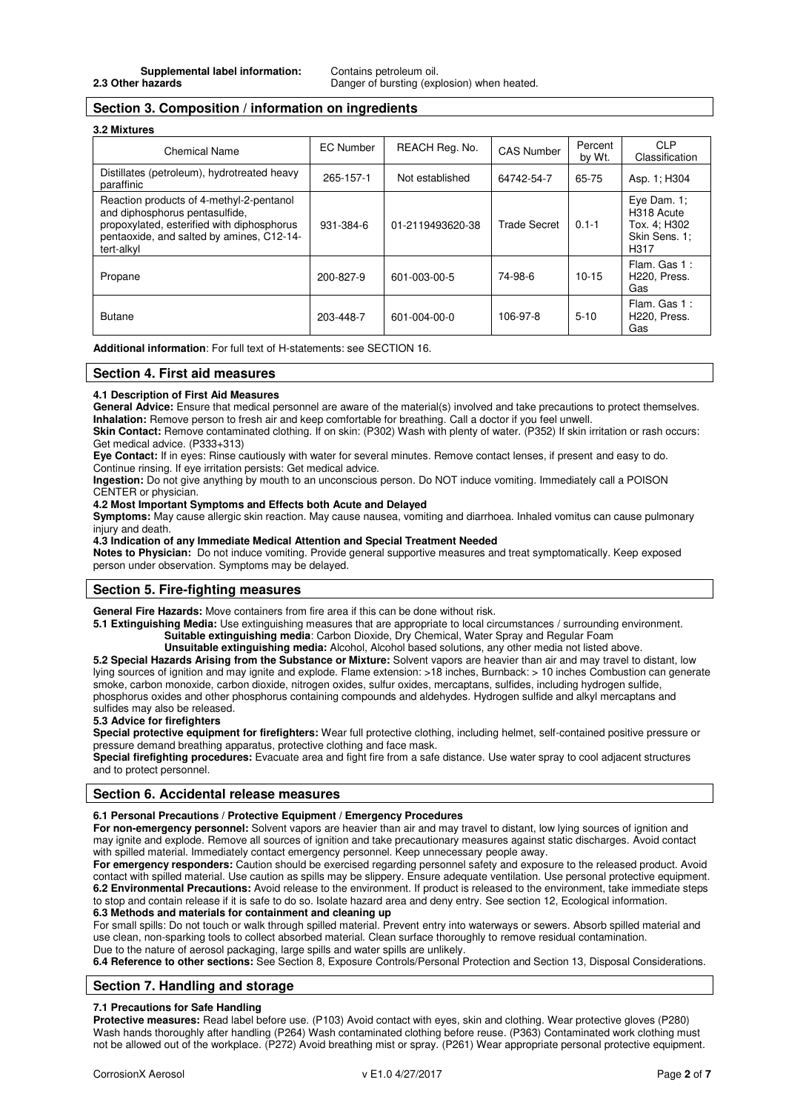Danger of bursting (explosion) when heated.

# **Section 3. Composition / information on ingredients**

## **3.2 Mixtures**

| <b>Chemical Name</b>                                                                                                                                                                | EC Number | REACH Reg. No.   | <b>CAS Number</b>   | Percent<br>by Wt. | <b>CLP</b><br>Classification                                          |
|-------------------------------------------------------------------------------------------------------------------------------------------------------------------------------------|-----------|------------------|---------------------|-------------------|-----------------------------------------------------------------------|
| Distillates (petroleum), hydrotreated heavy<br>paraffinic                                                                                                                           | 265-157-1 | Not established  | 64742-54-7          | 65-75             | Asp. 1: H304                                                          |
| Reaction products of 4-methyl-2-pentanol<br>and diphosphorus pentasulfide,<br>propoxylated, esterified with diphosphorus<br>pentaoxide, and salted by amines, C12-14-<br>tert-alkyl | 931-384-6 | 01-2119493620-38 | <b>Trade Secret</b> | $0.1 - 1$         | Eye Dam. $1$ :<br>H318 Acute<br>Tox. 4: H302<br>Skin Sens. 1:<br>H317 |
| Propane                                                                                                                                                                             | 200-827-9 | 601-003-00-5     | 74-98-6             | $10 - 15$         | Flam, Gas 1:<br>H220, Press.<br>Gas                                   |
| <b>Butane</b>                                                                                                                                                                       | 203-448-7 | 601-004-00-0     | 106-97-8            | $5 - 10$          | Flam, Gas 1:<br>H <sub>220</sub> , Press.<br>Gas                      |

**Additional information**: For full text of H-statements: see SECTION 16.

## **Section 4. First aid measures**

#### **4.1 Description of First Aid Measures**

General Advice: Ensure that medical personnel are aware of the material(s) involved and take precautions to protect themselves. **Inhalation:** Remove person to fresh air and keep comfortable for breathing. Call a doctor if you feel unwell.

**Skin Contact:** Remove contaminated clothing. If on skin: (P302) Wash with plenty of water. (P352) If skin irritation or rash occurs: Get medical advice. (P333+313)

**Eye Contact:** If in eyes: Rinse cautiously with water for several minutes. Remove contact lenses, if present and easy to do. Continue rinsing. If eye irritation persists: Get medical advice.

**Ingestion:** Do not give anything by mouth to an unconscious person. Do NOT induce vomiting. Immediately call a POISON CENTER or physician.

## **4.2 Most Important Symptoms and Effects both Acute and Delayed**

**Symptoms:** May cause allergic skin reaction. May cause nausea, vomiting and diarrhoea. Inhaled vomitus can cause pulmonary injury and death.

**4.3 Indication of any Immediate Medical Attention and Special Treatment Needed** 

**Notes to Physician:** Do not induce vomiting. Provide general supportive measures and treat symptomatically. Keep exposed person under observation. Symptoms may be delayed.

## **Section 5. Fire-fighting measures**

**General Fire Hazards:** Move containers from fire area if this can be done without risk.

**5.1 Extinguishing Media:** Use extinguishing measures that are appropriate to local circumstances / surrounding environment. **Suitable extinguishing media**: Carbon Dioxide, Dry Chemical, Water Spray and Regular Foam

 **Unsuitable extinguishing media:** Alcohol, Alcohol based solutions, any other media not listed above. **5.2 Special Hazards Arising from the Substance or Mixture:** Solvent vapors are heavier than air and may travel to distant, low lying sources of ignition and may ignite and explode. Flame extension: >18 inches, Burnback: > 10 inches Combustion can generate smoke, carbon monoxide, carbon dioxide, nitrogen oxides, sulfur oxides, mercaptans, sulfides, including hydrogen sulfide, phosphorus oxides and other phosphorus containing compounds and aldehydes. Hydrogen sulfide and alkyl mercaptans and

# sulfides may also be released.

# **5.3 Advice for firefighters**

**Special protective equipment for firefighters:** Wear full protective clothing, including helmet, self-contained positive pressure or pressure demand breathing apparatus, protective clothing and face mask.

**Special firefighting procedures:** Evacuate area and fight fire from a safe distance. Use water spray to cool adjacent structures and to protect personnel.

## **Section 6. Accidental release measures**

## **6.1 Personal Precautions / Protective Equipment / Emergency Procedures**

**For non-emergency personnel:** Solvent vapors are heavier than air and may travel to distant, low lying sources of ignition and may ignite and explode. Remove all sources of ignition and take precautionary measures against static discharges. Avoid contact with spilled material. Immediately contact emergency personnel. Keep unnecessary people away.

**For emergency responders:** Caution should be exercised regarding personnel safety and exposure to the released product. Avoid contact with spilled material. Use caution as spills may be slippery. Ensure adequate ventilation. Use personal protective equipment. **6.2 Environmental Precautions:** Avoid release to the environment. If product is released to the environment, take immediate steps to stop and contain release if it is safe to do so. Isolate hazard area and deny entry. See section 12, Ecological information. **6.3 Methods and materials for containment and cleaning up**

For small spills: Do not touch or walk through spilled material. Prevent entry into waterways or sewers. Absorb spilled material and use clean, non-sparking tools to collect absorbed material. Clean surface thoroughly to remove residual contamination.

Due to the nature of aerosol packaging, large spills and water spills are unlikely.

**6.4 Reference to other sections:** See Section 8, Exposure Controls/Personal Protection and Section 13, Disposal Considerations.

## **Section 7. Handling and storage**

## **7.1 Precautions for Safe Handling**

**Protective measures:** Read label before use. (P103) Avoid contact with eyes, skin and clothing. Wear protective gloves (P280) Wash hands thoroughly after handling (P264) Wash contaminated clothing before reuse. (P363) Contaminated work clothing must not be allowed out of the workplace. (P272) Avoid breathing mist or spray. (P261) Wear appropriate personal protective equipment.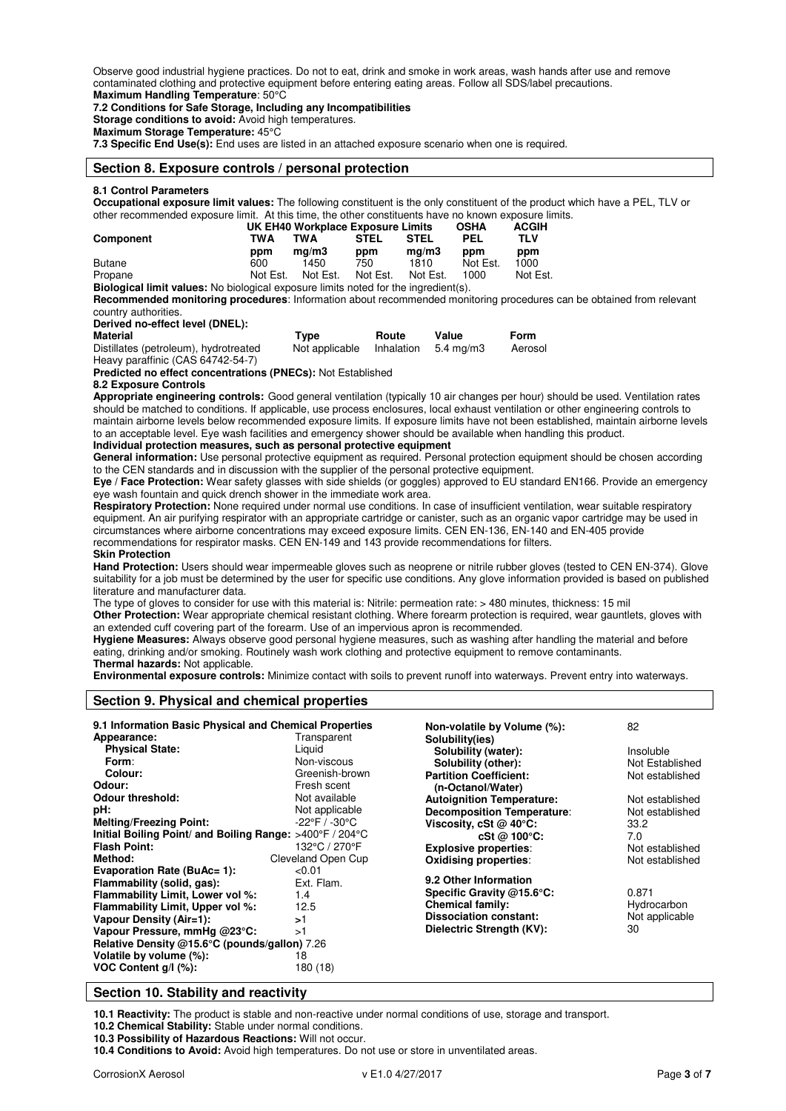Observe good industrial hygiene practices. Do not to eat, drink and smoke in work areas, wash hands after use and remove contaminated clothing and protective equipment before entering eating areas. Follow all SDS/label precautions. **Maximum Handling Temperature**: 50°C

**7.2 Conditions for Safe Storage, Including any Incompatibilities** 

**Storage conditions to avoid:** Avoid high temperatures.

**Maximum Storage Temperature:** 45°C

**7.3 Specific End Use(s):** End uses are listed in an attached exposure scenario when one is required.

## **Section 8. Exposure controls / personal protection**

## **8.1 Control Parameters**

**Occupational exposure limit values:** The following constituent is the only constituent of the product which have a PEL, TLV or other recommended exposure limit. At this time, the other constituents have no known exposure limits.

|                  | UK EH40 Workplace Exposure Limits |          |             |             | <b>OSHA</b> | <b>ACGIH</b> |  |
|------------------|-----------------------------------|----------|-------------|-------------|-------------|--------------|--|
| <b>Component</b> | TWA                               | TWA      | <b>STEL</b> | <b>STEL</b> | PEL         | TLV          |  |
|                  | ppm                               | ma/m3    | ppm         | ma/m3       | ppm         | ppm          |  |
| Butane           | 600                               | 1450     | 750         | 1810        | Not Est.    | 1000         |  |
| Propane          | Not Est.                          | Not Est. | Not Est.    | Not Est.    | 1000        | Not Est.     |  |

**Biological limit values:** No biological exposure limits noted for the ingredient(s).

**Recommended monitoring procedures**: Information about recommended monitoring procedures can be obtained from relevant country authorities.

**Derived no-effect level (DNEL):** 

| Material                                     | Type           | Route | Value                           | Form    |
|----------------------------------------------|----------------|-------|---------------------------------|---------|
| Distillates (petroleum), hydrotreated        | Not applicable |       | Inhalation $5.4 \text{ mg/m}$ 3 | Aerosol |
| $H_{\text{QON}}$ paraffinic (CAS 64749 E4.7) |                |       |                                 |         |

Heavy paraffinic (CAS 64742-**Predicted no effect concentrations (PNECs):** Not Established

## **8.2 Exposure Controls**

**Appropriate engineering controls:** Good general ventilation (typically 10 air changes per hour) should be used. Ventilation rates should be matched to conditions. If applicable, use process enclosures, local exhaust ventilation or other engineering controls to maintain airborne levels below recommended exposure limits. If exposure limits have not been established, maintain airborne levels to an acceptable level. Eye wash facilities and emergency shower should be available when handling this product. **Individual protection measures, such as personal protective equipment** 

**General information:** Use personal protective equipment as required. Personal protection equipment should be chosen according to the CEN standards and in discussion with the supplier of the personal protective equipment.

**Eye / Face Protection:** Wear safety glasses with side shields (or goggles) approved to EU standard EN166. Provide an emergency eye wash fountain and quick drench shower in the immediate work area.

**Respiratory Protection:** None required under normal use conditions. In case of insufficient ventilation, wear suitable respiratory equipment. An air purifying respirator with an appropriate cartridge or canister, such as an organic vapor cartridge may be used in circumstances where airborne concentrations may exceed exposure limits. CEN EN-136, EN-140 and EN-405 provide recommendations for respirator masks. CEN EN-149 and 143 provide recommendations for filters.

## **Skin Protection**

**Hand Protection:** Users should wear impermeable gloves such as neoprene or nitrile rubber gloves (tested to CEN EN-374). Glove suitability for a job must be determined by the user for specific use conditions. Any glove information provided is based on published literature and manufacturer data.

The type of gloves to consider for use with this material is: Nitrile: permeation rate: > 480 minutes, thickness: 15 mil **Other Protection:** Wear appropriate chemical resistant clothing. Where forearm protection is required, wear gauntlets, gloves with an extended cuff covering part of the forearm. Use of an impervious apron is recommended.

**Hygiene Measures:** Always observe good personal hygiene measures, such as washing after handling the material and before eating, drinking and/or smoking. Routinely wash work clothing and protective equipment to remove contaminants.

**Thermal hazards:** Not applicable.

**Environmental exposure controls:** Minimize contact with soils to prevent runoff into waterways. Prevent entry into waterways.

## **Section 9. Physical and chemical properties**

| 9.1 Information Basic Physical and Chemical Properties<br>Appearance: | Transparent                       | Non-volatile by Volume (%):<br>Solubility(ies) | 82              |  |
|-----------------------------------------------------------------------|-----------------------------------|------------------------------------------------|-----------------|--|
| <b>Physical State:</b>                                                | Liguid                            | Solubility (water):                            | Insoluble       |  |
| Form:                                                                 | Non-viscous                       | Solubility (other):                            | Not Established |  |
| Colour:                                                               | Greenish-brown                    | <b>Partition Coefficient:</b>                  | Not established |  |
| Odour:                                                                | Fresh scent                       | (n-Octanol/Water)                              |                 |  |
| <b>Odour threshold:</b>                                               | Not available                     | <b>Autoignition Temperature:</b>               | Not established |  |
| pH:                                                                   | Not applicable                    | <b>Decomposition Temperature:</b>              | Not established |  |
| <b>Melting/Freezing Point:</b>                                        | $-22^{\circ}$ F / $-30^{\circ}$ C | Viscosity, cSt $@$ 40 $°C$ :                   | 33.2            |  |
| Initial Boiling Point/ and Boiling Range: >400°F / 204°C              |                                   | $cSt \oslash 100^{\circ}C$ :                   | 7.0             |  |
| <b>Flash Point:</b>                                                   | 132°C / 270°F                     | <b>Explosive properties:</b>                   | Not established |  |
| Method:                                                               | Cleveland Open Cup                | <b>Oxidising properties:</b>                   | Not established |  |
| <b>Evaporation Rate (BuAc= 1):</b>                                    | < 0.01                            |                                                |                 |  |
| Flammability (solid, gas):                                            | Ext. Flam.                        | 9.2 Other Information                          |                 |  |
| Flammability Limit, Lower vol %:                                      | 1.4                               | Specific Gravity @15.6°C:                      | 0.871           |  |
| Flammability Limit, Upper vol %:                                      | 12.5                              | <b>Chemical family:</b>                        | Hydrocarbon     |  |
| <b>Vapour Density (Air=1):</b>                                        | >1                                | <b>Dissociation constant:</b>                  | Not applicable  |  |
| Vapour Pressure, mmHg @23°C:                                          | >1                                | Dielectric Strength (KV):                      | 30              |  |
| Relative Density @15.6°C (pounds/gallon) 7.26                         |                                   |                                                |                 |  |
| Volatile by volume (%):                                               | 18                                |                                                |                 |  |
| VOC Content g/l (%):                                                  | 180 (18)                          |                                                |                 |  |

## **Section 10. Stability and reactivity**

**10.1 Reactivity:** The product is stable and non-reactive under normal conditions of use, storage and transport.

**10.2 Chemical Stability:** Stable under normal conditions.

**10.3 Possibility of Hazardous Reactions:** Will not occur.

**10.4 Conditions to Avoid:** Avoid high temperatures. Do not use or store in unventilated areas.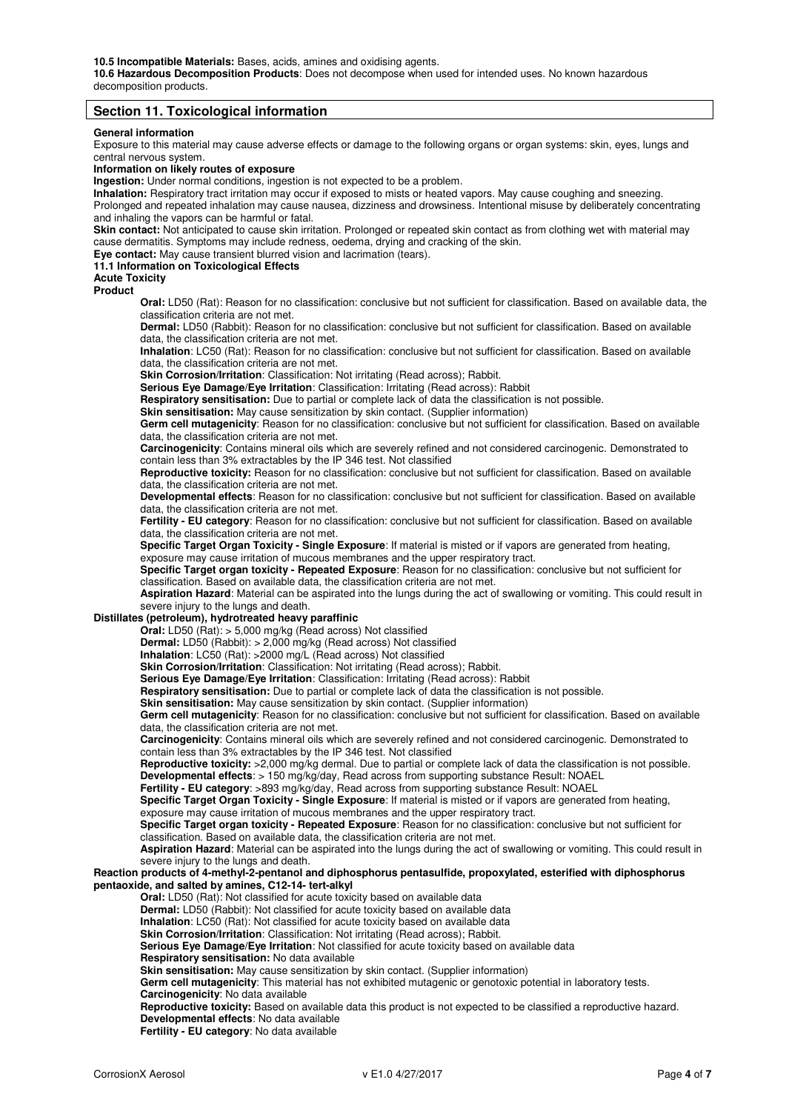**10.5 Incompatible Materials:** Bases, acids, amines and oxidising agents.

**10.6 Hazardous Decomposition Products**: Does not decompose when used for intended uses. No known hazardous decomposition products.

## **Section 11. Toxicological information**

### **General information**

Exposure to this material may cause adverse effects or damage to the following organs or organ systems: skin, eyes, lungs and central nervous system.

**Information on likely routes of exposure** 

**Ingestion:** Under normal conditions, ingestion is not expected to be a problem.

**Inhalation:** Respiratory tract irritation may occur if exposed to mists or heated vapors. May cause coughing and sneezing. Prolonged and repeated inhalation may cause nausea, dizziness and drowsiness. Intentional misuse by deliberately concentrating and inhaling the vapors can be harmful or fatal.

**Skin contact:** Not anticipated to cause skin irritation. Prolonged or repeated skin contact as from clothing wet with material may cause dermatitis. Symptoms may include redness, oedema, drying and cracking of the skin.

**Eye contact:** May cause transient blurred vision and lacrimation (tears).

## **11.1 Information on Toxicological Effects**

**Acute Toxicity** 

**Product** 

**Oral:** LD50 (Rat): Reason for no classification: conclusive but not sufficient for classification. Based on available data, the classification criteria are not met.

**Dermal:** LD50 (Rabbit): Reason for no classification: conclusive but not sufficient for classification. Based on available data, the classification criteria are not met.

**Inhalation**: LC50 (Rat): Reason for no classification: conclusive but not sufficient for classification. Based on available data, the classification criteria are not met.

**Skin Corrosion/Irritation**: Classification: Not irritating (Read across); Rabbit.

**Serious Eye Damage/Eye Irritation**: Classification: Irritating (Read across): Rabbit

**Respiratory sensitisation:** Due to partial or complete lack of data the classification is not possible.

**Skin sensitisation:** May cause sensitization by skin contact. (Supplier information) Germ cell mutagenicity: Reason for no classification: conclusive but not sufficient for classification. Based on available

data, the classification criteria are not met.

**Carcinogenicity**: Contains mineral oils which are severely refined and not considered carcinogenic. Demonstrated to contain less than 3% extractables by the IP 346 test. Not classified

**Reproductive toxicity:** Reason for no classification: conclusive but not sufficient for classification. Based on available data, the classification criteria are not met.

**Developmental effects**: Reason for no classification: conclusive but not sufficient for classification. Based on available data, the classification criteria are not met.

**Fertility - EU category**: Reason for no classification: conclusive but not sufficient for classification. Based on available data, the classification criteria are not met.

**Specific Target Organ Toxicity - Single Exposure**: If material is misted or if vapors are generated from heating, exposure may cause irritation of mucous membranes and the upper respiratory tract.

**Specific Target organ toxicity - Repeated Exposure**: Reason for no classification: conclusive but not sufficient for classification. Based on available data, the classification criteria are not met.

**Aspiration Hazard**: Material can be aspirated into the lungs during the act of swallowing or vomiting. This could result in severe injury to the lungs and death.

## **Distillates (petroleum), hydrotreated heavy paraffinic**

Oral: LD50 (Rat): > 5,000 mg/kg (Read across) Not classified

**Dermal:** LD50 (Rabbit): > 2,000 mg/kg (Read across) Not classified

**Inhalation**: LC50 (Rat): >2000 mg/L (Read across) Not classified

**Skin Corrosion/Irritation:** Classification: Not irritating (Read across); Rabbit.

**Serious Eye Damage/Eye Irritation**: Classification: Irritating (Read across): Rabbit

**Respiratory sensitisation:** Due to partial or complete lack of data the classification is not possible.

**Skin sensitisation:** May cause sensitization by skin contact. (Supplier information)

**Germ cell mutagenicity**: Reason for no classification: conclusive but not sufficient for classification. Based on available data, the classification criteria are not met.

**Carcinogenicity**: Contains mineral oils which are severely refined and not considered carcinogenic. Demonstrated to contain less than 3% extractables by the IP 346 test. Not classified

**Reproductive toxicity:** >2,000 mg/kg dermal. Due to partial or complete lack of data the classification is not possible. **Developmental effects**: > 150 mg/kg/day, Read across from supporting substance Result: NOAEL

**Fertility - EU category**: >893 mg/kg/day, Read across from supporting substance Result: NOAEL

**Specific Target Organ Toxicity - Single Exposure**: If material is misted or if vapors are generated from heating, exposure may cause irritation of mucous membranes and the upper respiratory tract.

**Specific Target organ toxicity - Repeated Exposure**: Reason for no classification: conclusive but not sufficient for

classification. Based on available data, the classification criteria are not met.

**Aspiration Hazard**: Material can be aspirated into the lungs during the act of swallowing or vomiting. This could result in severe injury to the lungs and death.

#### **Reaction products of 4-methyl-2-pentanol and diphosphorus pentasulfide, propoxylated, esterified with diphosphorus pentaoxide, and salted by amines, C12-14- tert-alkyl**

**Oral:** LD50 (Rat): Not classified for acute toxicity based on available data

**Dermal:** LD50 (Rabbit): Not classified for acute toxicity based on available data

**Inhalation**: LC50 (Rat): Not classified for acute toxicity based on available data

**Skin Corrosion/Irritation**: Classification: Not irritating (Read across); Rabbit.

**Serious Eye Damage/Eye Irritation**: Not classified for acute toxicity based on available data

**Respiratory sensitisation:** No data available

**Skin sensitisation:** May cause sensitization by skin contact. (Supplier information)

**Germ cell mutagenicity**: This material has not exhibited mutagenic or genotoxic potential in laboratory tests.

**Carcinogenicity**: No data available

**Reproductive toxicity:** Based on available data this product is not expected to be classified a reproductive hazard. **Developmental effects**: No data available

**Fertility - EU category**: No data available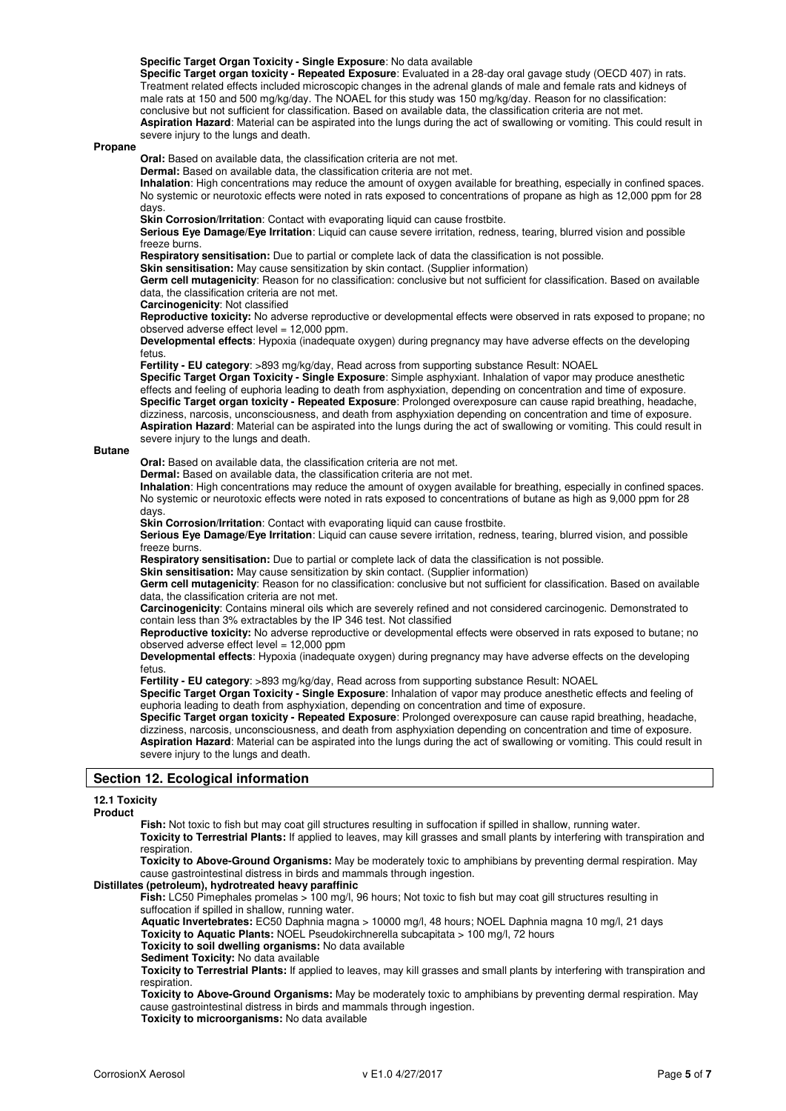#### **Specific Target Organ Toxicity - Single Exposure**: No data available

**Specific Target organ toxicity - Repeated Exposure**: Evaluated in a 28-day oral gavage study (OECD 407) in rats. Treatment related effects included microscopic changes in the adrenal glands of male and female rats and kidneys of male rats at 150 and 500 mg/kg/day. The NOAEL for this study was 150 mg/kg/day. Reason for no classification: conclusive but not sufficient for classification. Based on available data, the classification criteria are not met. **Aspiration Hazard**: Material can be aspirated into the lungs during the act of swallowing or vomiting. This could result in severe injury to the lungs and death.

#### **Propane**

**Oral:** Based on available data, the classification criteria are not met.

**Dermal:** Based on available data, the classification criteria are not met.

**Inhalation**: High concentrations may reduce the amount of oxygen available for breathing, especially in confined spaces. No systemic or neurotoxic effects were noted in rats exposed to concentrations of propane as high as 12,000 ppm for 28 days.

**Skin Corrosion/Irritation**: Contact with evaporating liquid can cause frostbite.

**Serious Eye Damage/Eye Irritation**: Liquid can cause severe irritation, redness, tearing, blurred vision and possible freeze burns.

**Respiratory sensitisation:** Due to partial or complete lack of data the classification is not possible.

**Skin sensitisation:** May cause sensitization by skin contact. (Supplier information)

**Germ cell mutagenicity**: Reason for no classification: conclusive but not sufficient for classification. Based on available data, the classification criteria are not met.

**Carcinogenicity**: Not classified

**Reproductive toxicity:** No adverse reproductive or developmental effects were observed in rats exposed to propane; no observed adverse effect level = 12,000 ppm.

**Developmental effects**: Hypoxia (inadequate oxygen) during pregnancy may have adverse effects on the developing fetus

**Fertility - EU category**: >893 mg/kg/day, Read across from supporting substance Result: NOAEL

**Specific Target Organ Toxicity - Single Exposure**: Simple asphyxiant. Inhalation of vapor may produce anesthetic effects and feeling of euphoria leading to death from asphyxiation, depending on concentration and time of exposure. **Specific Target organ toxicity - Repeated Exposure**: Prolonged overexposure can cause rapid breathing, headache, dizziness, narcosis, unconsciousness, and death from asphyxiation depending on concentration and time of exposure. **Aspiration Hazard**: Material can be aspirated into the lungs during the act of swallowing or vomiting. This could result in severe injury to the lungs and death.

#### **Butane**

**Oral:** Based on available data, the classification criteria are not met.

**Dermal:** Based on available data, the classification criteria are not met.

**Inhalation**: High concentrations may reduce the amount of oxygen available for breathing, especially in confined spaces. No systemic or neurotoxic effects were noted in rats exposed to concentrations of butane as high as 9,000 ppm for 28 days.

**Skin Corrosion/Irritation**: Contact with evaporating liquid can cause frostbite.

**Serious Eye Damage/Eye Irritation**: Liquid can cause severe irritation, redness, tearing, blurred vision, and possible freeze burns.

**Respiratory sensitisation:** Due to partial or complete lack of data the classification is not possible.

**Skin sensitisation:** May cause sensitization by skin contact. (Supplier information)

**Germ cell mutagenicity**: Reason for no classification: conclusive but not sufficient for classification. Based on available data, the classification criteria are not met.

**Carcinogenicity**: Contains mineral oils which are severely refined and not considered carcinogenic. Demonstrated to contain less than 3% extractables by the IP 346 test. Not classified

**Reproductive toxicity:** No adverse reproductive or developmental effects were observed in rats exposed to butane; no observed adverse effect level = 12,000 ppm

**Developmental effects**: Hypoxia (inadequate oxygen) during pregnancy may have adverse effects on the developing fetus.

**Fertility - EU category**: >893 mg/kg/day, Read across from supporting substance Result: NOAEL

**Specific Target Organ Toxicity - Single Exposure**: Inhalation of vapor may produce anesthetic effects and feeling of euphoria leading to death from asphyxiation, depending on concentration and time of exposure.

**Specific Target organ toxicity - Repeated Exposure**: Prolonged overexposure can cause rapid breathing, headache, dizziness, narcosis, unconsciousness, and death from asphyxiation depending on concentration and time of exposure. **Aspiration Hazard**: Material can be aspirated into the lungs during the act of swallowing or vomiting. This could result in severe injury to the lungs and death.

# **Section 12. Ecological information**

## **12.1 Toxicity**

**Product** 

Fish: Not toxic to fish but may coat gill structures resulting in suffocation if spilled in shallow, running water. **Toxicity to Terrestrial Plants:** If applied to leaves, may kill grasses and small plants by interfering with transpiration and respiration.

**Toxicity to Above-Ground Organisms:** May be moderately toxic to amphibians by preventing dermal respiration. May cause gastrointestinal distress in birds and mammals through ingestion.

## **Distillates (petroleum), hydrotreated heavy paraffinic**

Fish: LC50 Pimephales promelas > 100 mg/l, 96 hours; Not toxic to fish but may coat gill structures resulting in suffocation if spilled in shallow, running water.

 **Aquatic Invertebrates:** EC50 Daphnia magna > 10000 mg/l, 48 hours; NOEL Daphnia magna 10 mg/l, 21 days

 **Toxicity to Aquatic Plants:** NOEL Pseudokirchnerella subcapitata > 100 mg/l, 72 hours

 **Toxicity to soil dwelling organisms:** No data available

 **Sediment Toxicity:** No data available

 **Toxicity to Terrestrial Plants:** If applied to leaves, may kill grasses and small plants by interfering with transpiration and respiration.

 **Toxicity to Above-Ground Organisms:** May be moderately toxic to amphibians by preventing dermal respiration. May cause gastrointestinal distress in birds and mammals through ingestion.

 **Toxicity to microorganisms:** No data available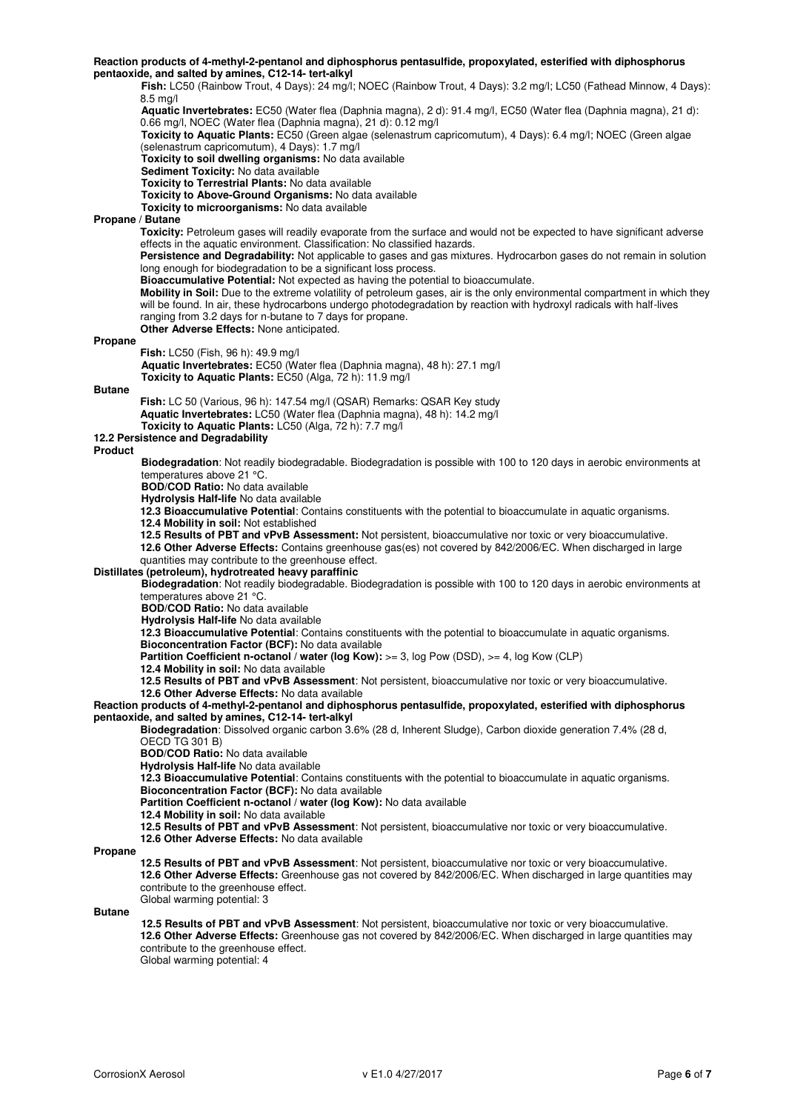#### **Reaction products of 4-methyl-2-pentanol and diphosphorus pentasulfide, propoxylated, esterified with diphosphorus pentaoxide, and salted by amines, C12-14- tert-alkyl**

 **Fish:** LC50 (Rainbow Trout, 4 Days): 24 mg/l; NOEC (Rainbow Trout, 4 Days): 3.2 mg/l; LC50 (Fathead Minnow, 4 Days): 8.5 mg/l  **Aquatic Invertebrates:** EC50 (Water flea (Daphnia magna), 2 d): 91.4 mg/l, EC50 (Water flea (Daphnia magna), 21 d): 0.66 mg/l, NOEC (Water flea (Daphnia magna), 21 d): 0.12 mg/l  **Toxicity to Aquatic Plants:** EC50 (Green algae (selenastrum capricomutum), 4 Days): 6.4 mg/l; NOEC (Green algae (selenastrum capricomutum), 4 Days): 1.7 mg/l  **Toxicity to soil dwelling organisms:** No data available **Sediment Toxicity:** No data available  **Toxicity to Terrestrial Plants:** No data available  **Toxicity to Above-Ground Organisms:** No data available  **Toxicity to microorganisms:** No data available **Propane / Butane Toxicity:** Petroleum gases will readily evaporate from the surface and would not be expected to have significant adverse effects in the aquatic environment. Classification: No classified hazards. **Persistence and Degradability:** Not applicable to gases and gas mixtures. Hydrocarbon gases do not remain in solution long enough for biodegradation to be a significant loss process. **Bioaccumulative Potential:** Not expected as having the potential to bioaccumulate. **Mobility in Soil:** Due to the extreme volatility of petroleum gases, air is the only environmental compartment in which they will be found. In air, these hydrocarbons undergo photodegradation by reaction with hydroxyl radicals with half-lives ranging from 3.2 days for n-butane to 7 days for propane. **Other Adverse Effects:** None anticipated. **Propane Fish:** LC50 (Fish, 96 h): 49.9 mg/l  **Aquatic Invertebrates:** EC50 (Water flea (Daphnia magna), 48 h): 27.1 mg/l  **Toxicity to Aquatic Plants:** EC50 (Alga, 72 h): 11.9 mg/l **Butane Fish:** LC 50 (Various, 96 h): 147.54 mg/l (QSAR) Remarks: QSAR Key study **Aquatic Invertebrates:** LC50 (Water flea (Daphnia magna), 48 h): 14.2 mg/l  **Toxicity to Aquatic Plants:** LC50 (Alga, 72 h): 7.7 mg/l **12.2 Persistence and Degradability Product Biodegradation**: Not readily biodegradable. Biodegradation is possible with 100 to 120 days in aerobic environments at temperatures above 21 °C.  **BOD/COD Ratio:** No data available **Hydrolysis Half-life** No data available **12.3 Bioaccumulative Potential**: Contains constituents with the potential to bioaccumulate in aquatic organisms. **12.4 Mobility in soil:** Not established **12.5 Results of PBT and vPvB Assessment:** Not persistent, bioaccumulative nor toxic or very bioaccumulative. **12.6 Other Adverse Effects:** Contains greenhouse gas(es) not covered by 842/2006/EC. When discharged in large quantities may contribute to the greenhouse effect. **Distillates (petroleum), hydrotreated heavy paraffinic Biodegradation**: Not readily biodegradable. Biodegradation is possible with 100 to 120 days in aerobic environments at temperatures above 21 °C.  **BOD/COD Ratio:** No data available  **Hydrolysis Half-life** No data available **12.3 Bioaccumulative Potential**: Contains constituents with the potential to bioaccumulate in aquatic organisms. **Bioconcentration Factor (BCF):** No data available Partition Coefficient n-octanol / water (log Kow): >= 3, log Pow (DSD), >= 4, log Kow (CLP) **12.4 Mobility in soil:** No data available **12.5 Results of PBT and vPvB Assessment**: Not persistent, bioaccumulative nor toxic or very bioaccumulative. **12.6 Other Adverse Effects:** No data available **Reaction products of 4-methyl-2-pentanol and diphosphorus pentasulfide, propoxylated, esterified with diphosphorus pentaoxide, and salted by amines, C12-14- tert-alkyl Biodegradation**: Dissolved organic carbon 3.6% (28 d, Inherent Sludge), Carbon dioxide generation 7.4% (28 d, OECD TG 301 B) **BOD/COD Ratio:** No data available **Hydrolysis Half-life** No data available **12.3 Bioaccumulative Potential**: Contains constituents with the potential to bioaccumulate in aquatic organisms. **Bioconcentration Factor (BCF):** No data available **Partition Coefficient n-octanol / water (log Kow):** No data available **12.4 Mobility in soil:** No data available **12.5 Results of PBT and vPvB Assessment**: Not persistent, bioaccumulative nor toxic or very bioaccumulative. **12.6 Other Adverse Effects:** No data available **Propane 12.5 Results of PBT and vPvB Assessment**: Not persistent, bioaccumulative nor toxic or very bioaccumulative. **12.6 Other Adverse Effects:** Greenhouse gas not covered by 842/2006/EC. When discharged in large quantities may contribute to the greenhouse effect. Global warming potential: 3 **Butane**

 **12.5 Results of PBT and vPvB Assessment**: Not persistent, bioaccumulative nor toxic or very bioaccumulative. **12.6 Other Adverse Effects:** Greenhouse gas not covered by 842/2006/EC. When discharged in large quantities may contribute to the greenhouse effect. Global warming potential: 4